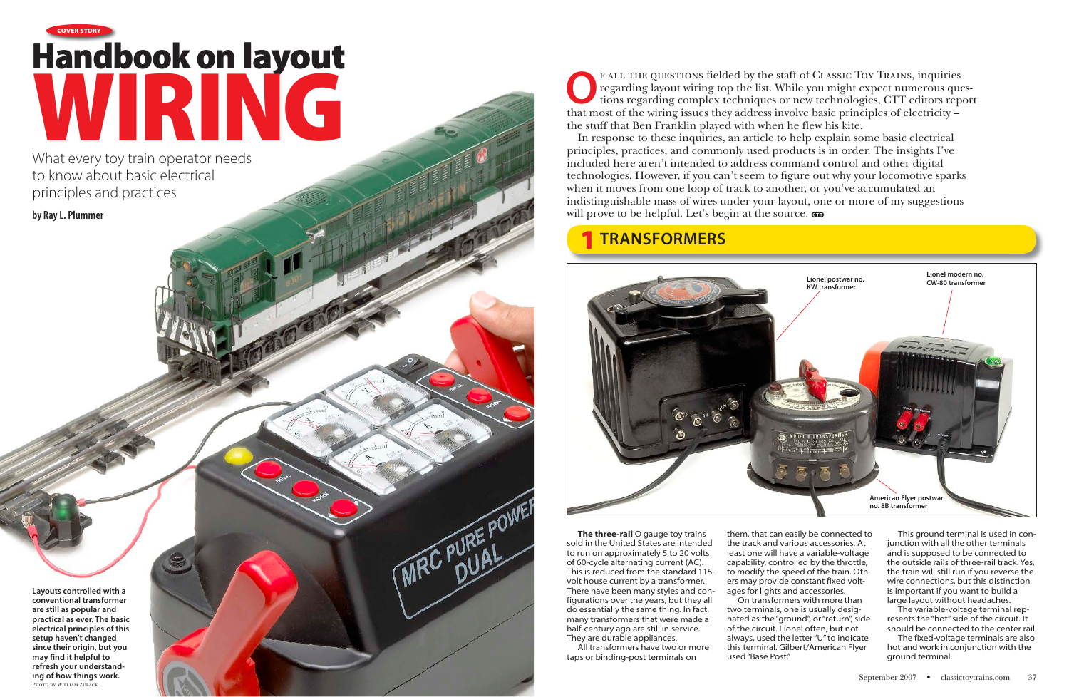What every toy train operator needs to know about basic electrical principles and practices

**by Ray L. Plummer** 

F ALL THE QUESTIONS fielded by the staff of CLASSIC TOY TRAINS, inquiries regarding layout wiring top the list. While you might expect numerous questions regarding complex techniques or new technologies, CTT editors report regarding layout wiring top the list. While you might expect numerous questhat most of the wiring issues they address involve basic principles of electricity – the stuff that Ben Franklin played with when he flew his kite.

In response to these inquiries, an article to help explain some basic electrical principles, practices, and commonly used products is in order. The insights I've included here aren't intended to address command control and other digital technologies. However, if you can't seem to figure out why your locomotive sparks when it moves from one loop of track to another, or you've accumulated an indistinguishable mass of wires under your layout, one or more of my suggestions will prove to be helpful. Let's begin at the source.

**The three-rail** O gauge toy trains sold in the United States are intended to run on approximately 5 to 20 volts of 60-cycle alternating current (AC). This is reduced from the standard 115 volt house current by a transformer. There have been many styles and configurations over the years, but they all do essentially the same thing. In fact, many transformers that were made a half-century ago are still in service. They are durable appliances.

MRC PURE POWER

# Handbook on layout WIRING **COVER STORY**

All transformers have two or more taps or binding-post terminals on

**Layouts controlled with a conventional transformer are still as popular and practical as ever. The basic electrical principles of this setup haven't changed since their origin, but you may find it helpful to refresh your understanding of how things work.** Photo by William Zuback

them, that can easily be connected to the track and various accessories. At least one will have a variable-voltage capability, controlled by the throttle, to modify the speed of the train. Others may provide constant fixed voltages for lights and accessories. two terminals, one is usually designated as the "ground", or "return", side of the circuit. Lionel often, but not always, used the letter "U" to indicate this terminal. Gilbert/American Flyer used "Base Post."

On transformers with more than

This ground terminal is used in conjunction with all the other terminals and is supposed to be connected to the outside rails of three-rail track. Yes, the train will still run if you reverse the wire connections, but this distinction is important if you want to build a large layout without headaches.

The variable-voltage terminal represents the "hot" side of the circuit. It should be connected to the center rail.

The fixed-voltage terminals are also hot and work in conjunction with the ground terminal.

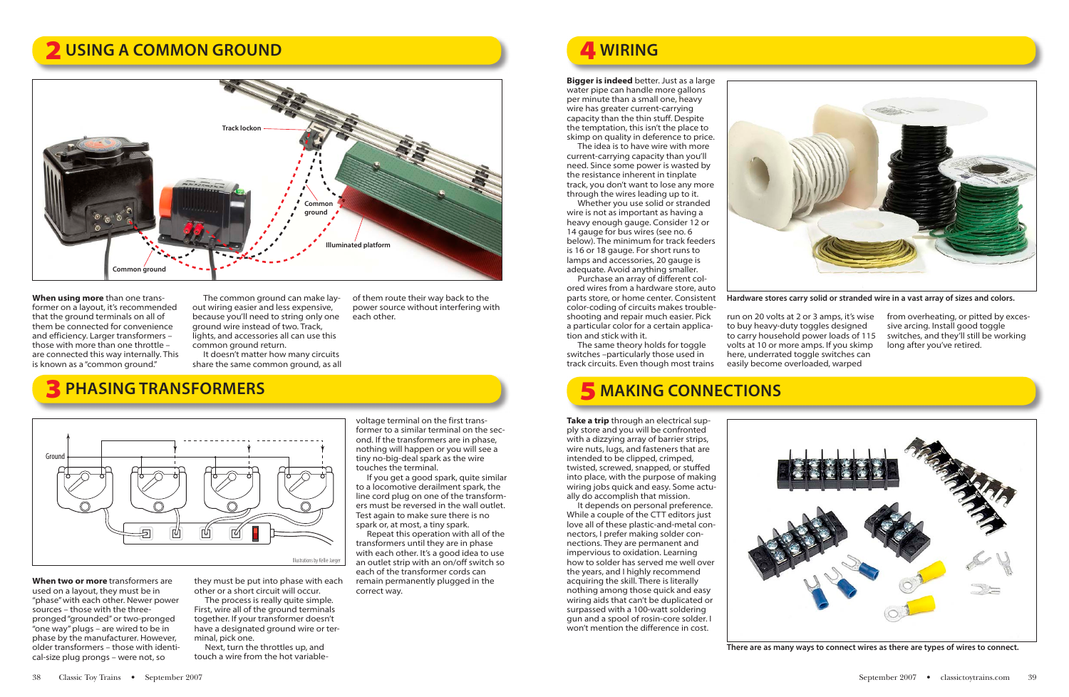**When using more** than one transformer on a layout, it's recommended that the ground terminals on all of them be connected for convenience and efficiency. Larger transformers – those with more than one throttle – are connected this way internally. This is known as a "common ground."

The common ground can make layout wiring easier and less expensive, because you'll need to string only one ground wire instead of two. Track, lights, and accessories all can use this common ground return.

It doesn't matter how many circuits share the same common ground, as all

of them route their way back to the power source without interfering with each other.

**When two or more** transformers are used on a layout, they must be in "phase" with each other. Newer power sources – those with the threepronged "grounded" or two-pronged "one way" plugs – are wired to be in phase by the manufacturer. However, older transformers – those with identical-size plug prongs – were not, so

they must be put into phase with each other or a short circuit will occur.

The process is really quite simple. First, wire all of the ground terminals together. If your transformer doesn't have a designated ground wire or terminal, pick one.

Next, turn the throttles up, and touch a wire from the hot variable-

voltage terminal on the first transformer to a similar terminal on the second. If the transformers are in phase, nothing will happen or you will see a tiny no-big-deal spark as the wire touches the terminal.

If you get a good spark, quite similar to a locomotive derailment spark, the line cord plug on one of the transformers must be reversed in the wall outlet. Test again to make sure there is no spark or, at most, a tiny spark.

Repeat this operation with all of the transformers until they are in phase with each other. It's a good idea to use an outlet strip with an on/off switch so each of the transformer cords can remain permanently plugged in the correct way.

**Bigger is indeed** better. Just as a large water pipe can handle more gallons per minute than a small one, heavy wire has greater current-carrying capacity than the thin stuff. Despite the temptation, this isn't the place to skimp on quality in deference to price.

The idea is to have wire with more current-carrying capacity than you'll need. Since some power is wasted by the resistance inherent in tinplate track, you don't want to lose any more through the wires leading up to it.

Whether you use solid or stranded wire is not as important as having a heavy enough gauge. Consider 12 or 14 gauge for bus wires (see no. 6 below). The minimum for track feeders is 16 or 18 gauge. For short runs to lamps and accessories, 20 gauge is adequate. Avoid anything smaller.

Purchase an array of different colored wires from a hardware store, auto parts store, or home center. Consistent color-coding of circuits makes troubleshooting and repair much easier. Pick a particular color for a certain application and stick with it.

The same theory holds for toggle switches –particularly those used in track circuits. Even though most trains

run on 20 volts at 2 or 3 amps, it's wise to buy heavy-duty toggles designed to carry household power loads of 115 volts at 10 or more amps. If you skimp here, underrated toggle switches can easily become overloaded, warped

from overheating, or pitted by excessive arcing. Install good toggle switches, and they'll still be working long after you've retired.

**Take a trip** through an electrical supply store and you will be confronted with a dizzying array of barrier strips, wire nuts, lugs, and fasteners that are intended to be clipped, crimped, twisted, screwed, snapped, or stuffed into place, with the purpose of making wiring jobs quick and easy. Some actually do accomplish that mission.

It depends on personal preference. While a couple of the CTT editors just love all of these plastic-and-metal connectors, I prefer making solder connections. They are permanent and impervious to oxidation. Learning how to solder has served me well over the years, and I highly recommend acquiring the skill. There is literally nothing among those quick and easy wiring aids that can't be duplicated or surpassed with a 100-watt soldering gun and a spool of rosin-core solder. I won't mention the difference in cost.



### 2 **USING A COMMON GROUND** 4 **WIRING**

### 3**PHASING TRANSFORMERS** 5 **MAKING CONNECTIONS**





**Hardware stores carry solid or stranded wire in a vast array of sizes and colors.**





**There are as many ways to connect wires as there are types of wires to connect.**